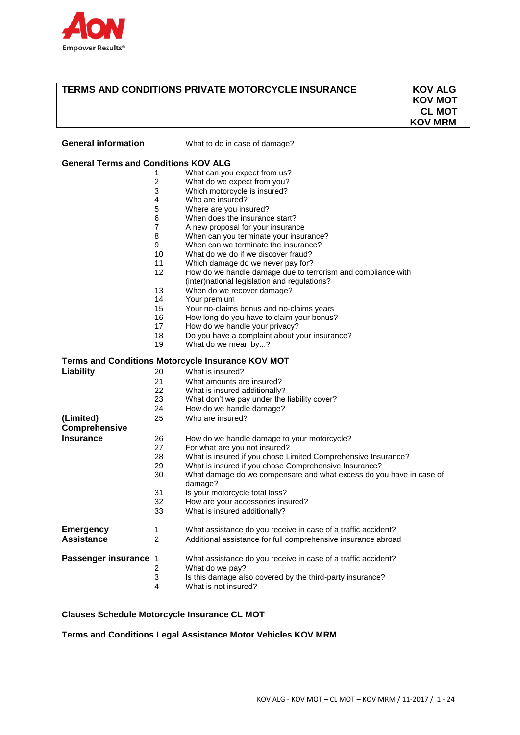

# **TERMS AND CONDITIONS PRIVATE MOTORCYCLE INSURANCE KOV ALG**

 **KOV MOT CL MOT KOV MRM**

| <b>General information</b>                  |    | What to do in case of damage?                                                                                |  |  |  |  |  |  |
|---------------------------------------------|----|--------------------------------------------------------------------------------------------------------------|--|--|--|--|--|--|
| <b>General Terms and Conditions KOV ALG</b> |    |                                                                                                              |  |  |  |  |  |  |
|                                             | 1  | What can you expect from us?                                                                                 |  |  |  |  |  |  |
|                                             | 2  | What do we expect from you?                                                                                  |  |  |  |  |  |  |
|                                             | 3  | Which motorcycle is insured?                                                                                 |  |  |  |  |  |  |
|                                             | 4  | Who are insured?                                                                                             |  |  |  |  |  |  |
|                                             | 5  | Where are you insured?                                                                                       |  |  |  |  |  |  |
|                                             | 6  | When does the insurance start?                                                                               |  |  |  |  |  |  |
|                                             | 7  | A new proposal for your insurance                                                                            |  |  |  |  |  |  |
|                                             | 8  | When can you terminate your insurance?                                                                       |  |  |  |  |  |  |
|                                             | 9  | When can we terminate the insurance?                                                                         |  |  |  |  |  |  |
|                                             | 10 | What do we do if we discover fraud?                                                                          |  |  |  |  |  |  |
|                                             | 11 | Which damage do we never pay for?                                                                            |  |  |  |  |  |  |
|                                             | 12 |                                                                                                              |  |  |  |  |  |  |
|                                             |    | How do we handle damage due to terrorism and compliance with<br>(inter)national legislation and regulations? |  |  |  |  |  |  |
|                                             | 13 | When do we recover damage?                                                                                   |  |  |  |  |  |  |
|                                             | 14 | Your premium                                                                                                 |  |  |  |  |  |  |
|                                             | 15 | Your no-claims bonus and no-claims years                                                                     |  |  |  |  |  |  |
|                                             | 16 | How long do you have to claim your bonus?                                                                    |  |  |  |  |  |  |
|                                             | 17 | How do we handle your privacy?                                                                               |  |  |  |  |  |  |
|                                             | 18 | Do you have a complaint about your insurance?                                                                |  |  |  |  |  |  |
|                                             | 19 | What do we mean by?                                                                                          |  |  |  |  |  |  |
|                                             |    |                                                                                                              |  |  |  |  |  |  |
|                                             |    | Terms and Conditions Motorcycle Insurance KOV MOT                                                            |  |  |  |  |  |  |
| Liability                                   | 20 | What is insured?                                                                                             |  |  |  |  |  |  |
|                                             | 21 | What amounts are insured?                                                                                    |  |  |  |  |  |  |
|                                             | 22 | What is insured additionally?                                                                                |  |  |  |  |  |  |
|                                             | 23 | What don't we pay under the liability cover?                                                                 |  |  |  |  |  |  |
|                                             | 24 | How do we handle damage?                                                                                     |  |  |  |  |  |  |
| (Limited)                                   | 25 | Who are insured?                                                                                             |  |  |  |  |  |  |
| Comprehensive                               |    |                                                                                                              |  |  |  |  |  |  |
| Insurance                                   | 26 |                                                                                                              |  |  |  |  |  |  |
|                                             |    | How do we handle damage to your motorcycle?                                                                  |  |  |  |  |  |  |
|                                             | 27 | For what are you not insured?                                                                                |  |  |  |  |  |  |
|                                             | 28 | What is insured if you chose Limited Comprehensive Insurance?                                                |  |  |  |  |  |  |
|                                             | 29 | What is insured if you chose Comprehensive Insurance?                                                        |  |  |  |  |  |  |
|                                             | 30 | What damage do we compensate and what excess do you have in case of<br>damage?                               |  |  |  |  |  |  |
|                                             | 31 | Is your motorcycle total loss?                                                                               |  |  |  |  |  |  |
|                                             | 32 | How are your accessories insured?                                                                            |  |  |  |  |  |  |
|                                             | 33 | What is insured additionally?                                                                                |  |  |  |  |  |  |
| <b>Emergency</b>                            | 1  | What assistance do you receive in case of a traffic accident?                                                |  |  |  |  |  |  |
| <b>Assistance</b>                           | 2  | Additional assistance for full comprehensive insurance abroad                                                |  |  |  |  |  |  |
|                                             |    |                                                                                                              |  |  |  |  |  |  |
| Passenger insurance 1                       |    | What assistance do you receive in case of a traffic accident?                                                |  |  |  |  |  |  |
|                                             | 2  | What do we pay?                                                                                              |  |  |  |  |  |  |
|                                             | 3  | Is this damage also covered by the third-party insurance?                                                    |  |  |  |  |  |  |
|                                             | 4  | What is not insured?                                                                                         |  |  |  |  |  |  |

### **Clauses Schedule Motorcycle Insurance CL MOT**

**Terms and Conditions Legal Assistance Motor Vehicles KOV MRM**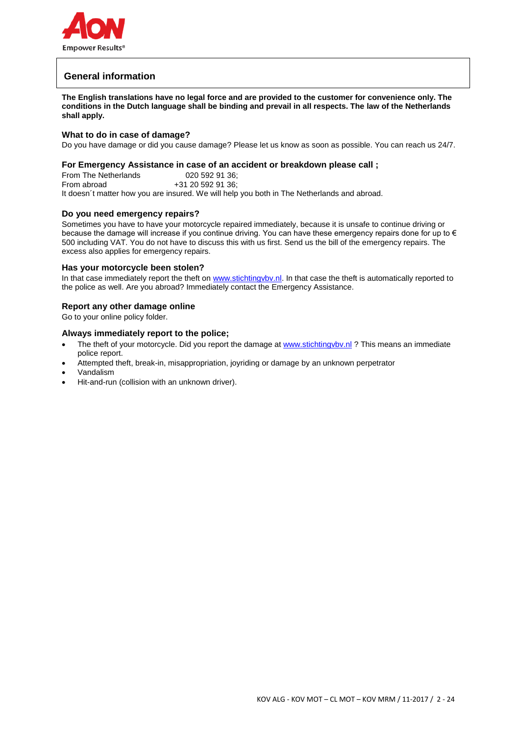

# **General information**

**The English translations have no legal force and are provided to the customer for convenience only. The conditions in the Dutch language shall be binding and prevail in all respects. The law of the Netherlands shall apply.**

### **What to do in case of damage?**

Do you have damage or did you cause damage? Please let us know as soon as possible. You can reach us 24/7.

### **For Emergency Assistance in case of an accident or breakdown please call ;**

From The Netherlands 020 592 91 36: From abroad  $+31$  20 592 91 36: It doesn´t matter how you are insured. We will help you both in The Netherlands and abroad.

### **Do you need emergency repairs?**

Sometimes you have to have your motorcycle repaired immediately, because it is unsafe to continue driving or because the damage will increase if you continue driving. You can have these emergency repairs done for up to € 500 including VAT. You do not have to discuss this with us first. Send us the bill of the emergency repairs. The excess also applies for emergency repairs.

#### **Has your motorcycle been stolen?**

In that case immediately report the theft on [www.stichtingvbv.nl.](http://www.stichtingvbv.nl/) In that case the theft is automatically reported to the police as well. Are you abroad? Immediately contact the Emergency Assistance.

#### **Report any other damage online**

Go to your online policy folder.

### **Always immediately report to the police;**

- The theft of your motorcycle. Did you report the damage at www.stichtingvbv.nl ? This means an immediate police report.
- Attempted theft, break-in, misappropriation, joyriding or damage by an unknown perpetrator
- Vandalism
- Hit-and-run (collision with an unknown driver).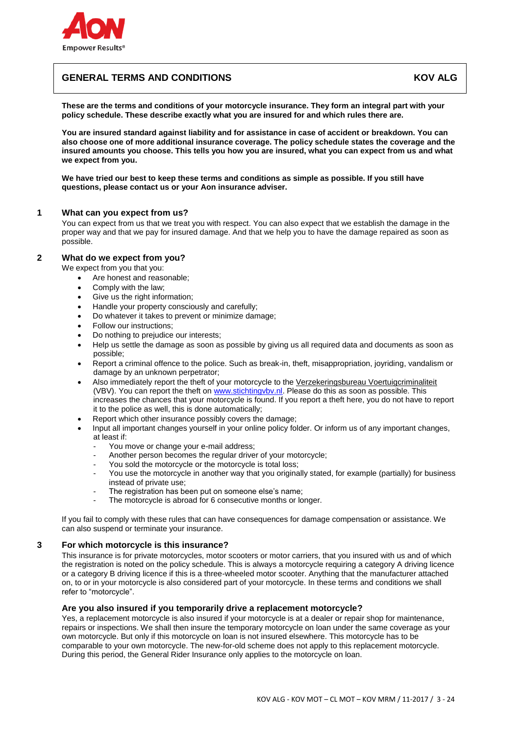

# **GENERAL TERMS AND CONDITIONS AND ALGENT AND ALGENT AND ALGENT AND ALGENT AND ALGENT AND ALGENT AND ALGENT AND**

**These are the terms and conditions of your motorcycle insurance. They form an integral part with your policy schedule. These describe exactly what you are insured for and which rules there are.**

**You are insured standard against liability and for assistance in case of accident or breakdown. You can also choose one of more additional insurance coverage. The policy schedule states the coverage and the insured amounts you choose. This tells you how you are insured, what you can expect from us and what we expect from you.**

**We have tried our best to keep these terms and conditions as simple as possible. If you still have questions, please contact us or your Aon insurance adviser.**

### **1 What can you expect from us?**

You can expect from us that we treat you with respect. You can also expect that we establish the damage in the proper way and that we pay for insured damage. And that we help you to have the damage repaired as soon as possible.

### **2 What do we expect from you?**

We expect from you that you:

- Are honest and reasonable;
- Comply with the law;
- Give us the right information;
- Handle your property consciously and carefully;
- Do whatever it takes to prevent or minimize damage;
- Follow our instructions;
- Do nothing to prejudice our interests;
- Help us settle the damage as soon as possible by giving us all required data and documents as soon as possible;
- Report a criminal offence to the police. Such as break-in, theft, misappropriation, joyriding, vandalism or damage by an unknown perpetrator;
- Also immediately report the theft of your motorcycle to the [Verzekeringsbureau Voertuigcriminaliteit](http://www.stichtingvbv.nl/) (VBV). You can report the theft on [www.stichtingvbv.nl.](http://www.stichtingvbv.nl/) Please do this as soon as possible. This increases the chances that your motorcycle is found. If you report a theft here, you do not have to report it to the police as well, this is done automatically;
- Report which other insurance possibly covers the damage;
- Input all important changes yourself in your online policy folder. Or inform us of any important changes, at least if:
	- You move or change your e-mail address;
	- Another person becomes the regular driver of your motorcycle;
	- You sold the motorcycle or the motorcycle is total loss;
	- You use the motorcycle in another way that you originally stated, for example (partially) for business instead of private use;
	- The registration has been put on someone else's name;
	- The motorcycle is abroad for 6 consecutive months or longer.

If you fail to comply with these rules that can have consequences for damage compensation or assistance. We can also suspend or terminate your insurance.

### **3 For which motorcycle is this insurance?**

This insurance is for private motorcycles, motor scooters or motor carriers, that you insured with us and of which the registration is noted on the policy schedule. This is always a motorcycle requiring a category A driving licence or a category B driving licence if this is a three-wheeled motor scooter. Anything that the manufacturer attached on, to or in your motorcycle is also considered part of your motorcycle. In these terms and conditions we shall refer to "motorcycle".

# **Are you also insured if you temporarily drive a replacement motorcycle?**

Yes, a replacement motorcycle is also insured if your motorcycle is at a dealer or repair shop for maintenance, repairs or inspections. We shall then insure the temporary motorcycle on loan under the same coverage as your own motorcycle. But only if this motorcycle on loan is not insured elsewhere. This motorcycle has to be comparable to your own motorcycle. The new-for-old scheme does not apply to this replacement motorcycle. During this period, the General Rider Insurance only applies to the motorcycle on loan.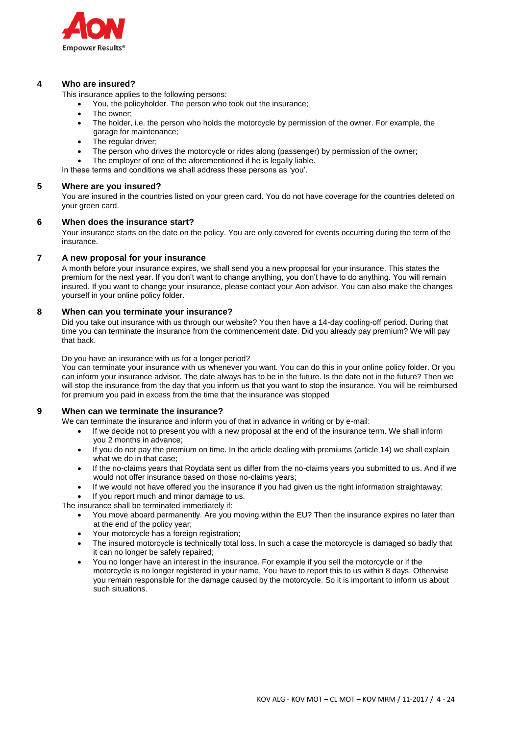

### **4 Who are insured?**

This insurance applies to the following persons:

- You, the policyholder. The person who took out the insurance;
- The owner;
- The holder, i.e. the person who holds the motorcycle by permission of the owner. For example, the garage for maintenance;
- The regular driver;
- The person who drives the motorcycle or rides along (passenger) by permission of the owner;
- The employer of one of the aforementioned if he is legally liable.

In these terms and conditions we shall address these persons as 'you'.

### **5 Where are you insured?**

You are insured in the countries listed on your green card. You do not have coverage for the countries deleted on your green card.

### **6 When does the insurance start?**

Your insurance starts on the date on the policy. You are only covered for events occurring during the term of the insurance.

### **7 A new proposal for your insurance**

A month before your insurance expires, we shall send you a new proposal for your insurance. This states the premium for the next year. If you don't want to change anything, you don't have to do anything. You will remain insured. If you want to change your insurance, please contact your Aon advisor. You can also make the changes yourself in your online policy folder.

### **8 When can you terminate your insurance?**

Did you take out insurance with us through our website? You then have a 14-day cooling-off period. During that time you can terminate the insurance from the commencement date. Did you already pay premium? We will pay that back.

### Do you have an insurance with us for a longer period?

You can terminate your insurance with us whenever you want. You can do this in your online policy folder. Or you can inform your insurance advisor. The date always has to be in the future. Is the date not in the future? Then we will stop the insurance from the day that you inform us that you want to stop the insurance. You will be reimbursed for premium you paid in excess from the time that the insurance was stopped

### **9 When can we terminate the insurance?**

We can terminate the insurance and inform you of that in advance in writing or by e-mail:

- If we decide not to present you with a new proposal at the end of the insurance term. We shall inform you 2 months in advance;
- If you do not pay the premium on time. In the article dealing with premiums (article 14) we shall explain what we do in that case;
- If the no-claims years that Roydata sent us differ from the no-claims years you submitted to us. And if we would not offer insurance based on those no-claims years;
- If we would not have offered you the insurance if you had given us the right information straightaway;

If you report much and minor damage to us.

The insurance shall be terminated immediately if:

- You move aboard permanently. Are you moving within the EU? Then the insurance expires no later than at the end of the policy year;
- Your motorcycle has a foreign registration;
- The insured motorcycle is technically total loss. In such a case the motorcycle is damaged so badly that it can no longer be safely repaired;
- You no longer have an interest in the insurance. For example if you sell the motorcycle or if the motorcycle is no longer registered in your name. You have to report this to us within 8 days. Otherwise you remain responsible for the damage caused by the motorcycle. So it is important to inform us about such situations.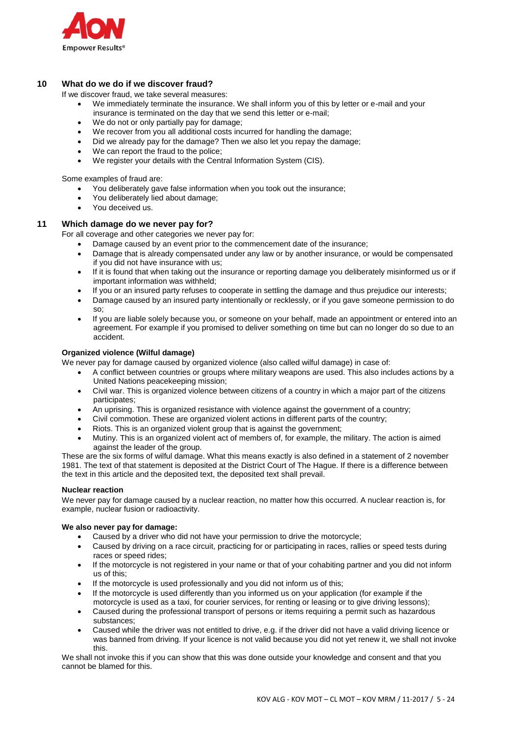

# **10 What do we do if we discover fraud?**

If we discover fraud, we take several measures:

- We immediately terminate the insurance. We shall inform you of this by letter or e-mail and your insurance is terminated on the day that we send this letter or e-mail;
- We do not or only partially pay for damage:
- We recover from you all additional costs incurred for handling the damage;
- Did we already pay for the damage? Then we also let you repay the damage;
- We can report the fraud to the police;
- We register your details with the Central Information System (CIS).

Some examples of fraud are:

- You deliberately gave false information when you took out the insurance;
- You deliberately lied about damage;
- You deceived us.

### **11 Which damage do we never pay for?**

For all coverage and other categories we never pay for:

- Damage caused by an event prior to the commencement date of the insurance;
- Damage that is already compensated under any law or by another insurance, or would be compensated if you did not have insurance with us;
- If it is found that when taking out the insurance or reporting damage you deliberately misinformed us or if important information was withheld;
- If you or an insured party refuses to cooperate in settling the damage and thus prejudice our interests;
- Damage caused by an insured party intentionally or recklessly, or if you gave someone permission to do so;
- If you are liable solely because you, or someone on your behalf, made an appointment or entered into an agreement. For example if you promised to deliver something on time but can no longer do so due to an accident.

#### **Organized violence (Wilful damage)**

We never pay for damage caused by organized violence (also called wilful damage) in case of:

- A conflict between countries or groups where military weapons are used. This also includes actions by a United Nations peacekeeping mission;
- Civil war. This is organized violence between citizens of a country in which a major part of the citizens participates;
- An uprising. This is organized resistance with violence against the government of a country;
- Civil commotion. These are organized violent actions in different parts of the country;
- Riots. This is an organized violent group that is against the government;
- Mutiny. This is an organized violent act of members of, for example, the military. The action is aimed against the leader of the group.

These are the six forms of wilful damage. What this means exactly is also defined in a statement of 2 november 1981. The text of that statement is deposited at the District Court of The Hague. If there is a difference between the text in this article and the deposited text, the deposited text shall prevail.

#### **Nuclear reaction**

We never pay for damage caused by a nuclear reaction, no matter how this occurred. A nuclear reaction is, for example, nuclear fusion or radioactivity.

#### **We also never pay for damage:**

- Caused by a driver who did not have your permission to drive the motorcycle;
- Caused by driving on a race circuit, practicing for or participating in races, rallies or speed tests during races or speed rides;
- If the motorcycle is not registered in your name or that of your cohabiting partner and you did not inform us of this;
- If the motorcycle is used professionally and you did not inform us of this;
- If the motorcycle is used differently than you informed us on your application (for example if the motorcycle is used as a taxi, for courier services, for renting or leasing or to give driving lessons);
- Caused during the professional transport of persons or items requiring a permit such as hazardous substances;
- Caused while the driver was not entitled to drive, e.g. if the driver did not have a valid driving licence or was banned from driving. If your licence is not valid because you did not yet renew it, we shall not invoke this.

We shall not invoke this if you can show that this was done outside your knowledge and consent and that you cannot be blamed for this.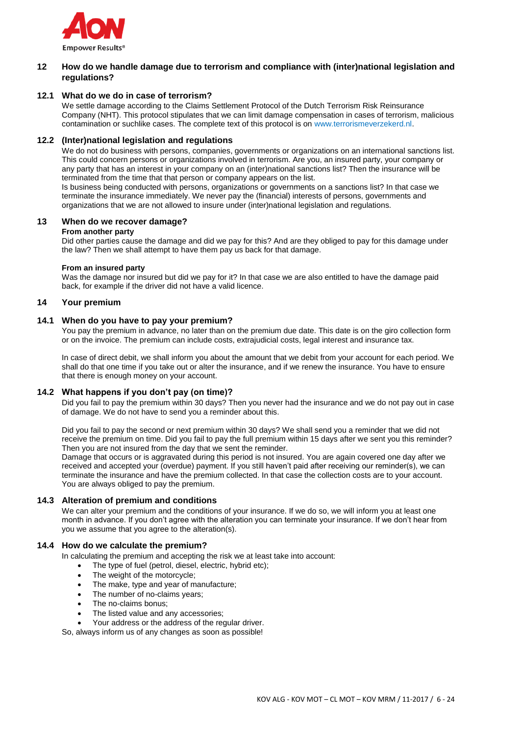

### **12 How do we handle damage due to terrorism and compliance with (inter)national legislation and regulations?**

### **12.1 What do we do in case of terrorism?**

We settle damage according to the Claims Settlement Protocol of the Dutch Terrorism Risk Reinsurance Company (NHT). This protocol stipulates that we can limit damage compensation in cases of terrorism, malicious contamination or suchlike cases. The complete text of this protocol is on [www.terrorismeverzekerd.nl.](http://www.terrorismeverzekerd.nl/)

### **12.2 (Inter)national legislation and regulations**

We do not do business with persons, companies, governments or organizations on an international sanctions list. This could concern persons or organizations involved in terrorism. Are you, an insured party, your company or any party that has an interest in your company on an (inter)national sanctions list? Then the insurance will be terminated from the time that that person or company appears on the list.

Is business being conducted with persons, organizations or governments on a sanctions list? In that case we terminate the insurance immediately. We never pay the (financial) interests of persons, governments and organizations that we are not allowed to insure under (inter)national legislation and regulations.

### **13 When do we recover damage?**

#### **From another party**

Did other parties cause the damage and did we pay for this? And are they obliged to pay for this damage under the law? Then we shall attempt to have them pay us back for that damage.

### **From an insured party**

Was the damage nor insured but did we pay for it? In that case we are also entitled to have the damage paid back, for example if the driver did not have a valid licence.

### **14 Your premium**

### **14.1 When do you have to pay your premium?**

You pay the premium in advance, no later than on the premium due date. This date is on the giro collection form or on the invoice. The premium can include costs, extrajudicial costs, legal interest and insurance tax.

In case of direct debit, we shall inform you about the amount that we debit from your account for each period. We shall do that one time if you take out or alter the insurance, and if we renew the insurance. You have to ensure that there is enough money on your account.

### **14.2 What happens if you don't pay (on time)?**

Did you fail to pay the premium within 30 days? Then you never had the insurance and we do not pay out in case of damage. We do not have to send you a reminder about this.

Did you fail to pay the second or next premium within 30 days? We shall send you a reminder that we did not receive the premium on time. Did you fail to pay the full premium within 15 days after we sent you this reminder? Then you are not insured from the day that we sent the reminder.

Damage that occurs or is aggravated during this period is not insured. You are again covered one day after we received and accepted your (overdue) payment. If you still haven't paid after receiving our reminder(s), we can terminate the insurance and have the premium collected. In that case the collection costs are to your account. You are always obliged to pay the premium.

### **14.3 Alteration of premium and conditions**

We can alter your premium and the conditions of your insurance. If we do so, we will inform you at least one month in advance. If you don't agree with the alteration you can terminate your insurance. If we don't hear from you we assume that you agree to the alteration(s).

### **14.4 How do we calculate the premium?**

In calculating the premium and accepting the risk we at least take into account:

- The type of fuel (petrol, diesel, electric, hybrid etc);
- The weight of the motorcycle;
- The make, type and year of manufacture;
- The number of no-claims years;
- The no-claims bonus;
- The listed value and any accessories;
- Your address or the address of the regular driver.

So, always inform us of any changes as soon as possible!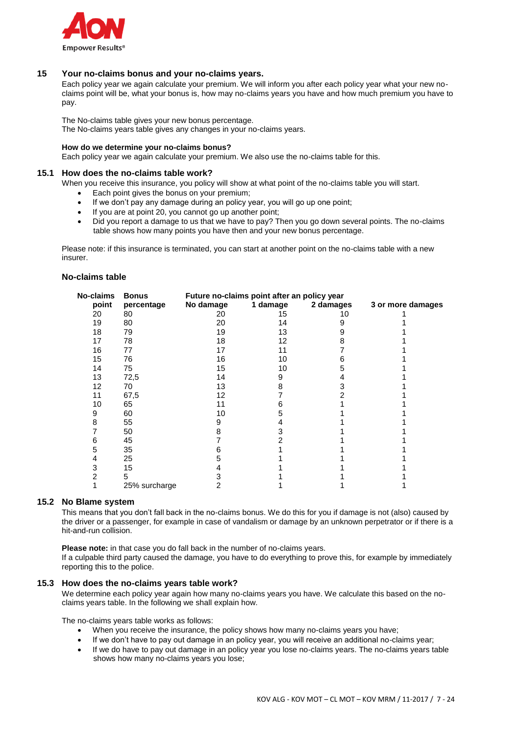

### **15 Your no-claims bonus and your no-claims years.**

Each policy year we again calculate your premium. We will inform you after each policy year what your new noclaims point will be, what your bonus is, how may no-claims years you have and how much premium you have to pay.

The No-claims table gives your new bonus percentage.

The No-claims years table gives any changes in your no-claims years.

### **How do we determine your no-claims bonus?**

Each policy year we again calculate your premium. We also use the no-claims table for this.

#### **15.1 How does the no-claims table work?**

When you receive this insurance, you policy will show at what point of the no-claims table you will start.

- **Each point gives the bonus on your premium;**
- If we don't pay any damage during an policy year, you will go up one point;
- If you are at point 20, you cannot go up another point;
- Did you report a damage to us that we have to pay? Then you go down several points. The no-claims table shows how many points you have then and your new bonus percentage.

Please note: if this insurance is terminated, you can start at another point on the no-claims table with a new insurer.

#### **No-claims table**

| No-claims | <b>Bonus</b>  | Future no-claims point after an policy year |          |           |                   |  |  |
|-----------|---------------|---------------------------------------------|----------|-----------|-------------------|--|--|
| point     | percentage    | No damage                                   | 1 damage | 2 damages | 3 or more damages |  |  |
| 20        | 80            | 20                                          | 15       | 10        |                   |  |  |
| 19        | 80            | 20                                          | 14       |           |                   |  |  |
| 18        | 79            | 19                                          | 13       |           |                   |  |  |
| 17        | 78            | 18                                          | 12       |           |                   |  |  |
| 16        | 77            | 17                                          | 11       |           |                   |  |  |
| 15        | 76            | 16                                          | 10       |           |                   |  |  |
| 14        | 75            | 15                                          | 10       |           |                   |  |  |
| 13        | 72,5          | 14                                          |          |           |                   |  |  |
| 12        | 70            | 13                                          |          |           |                   |  |  |
| 11        | 67,5          | 12                                          |          |           |                   |  |  |
| 10        | 65            | 11                                          |          |           |                   |  |  |
| 9         | 60            | 10                                          |          |           |                   |  |  |
| 8         | 55            |                                             |          |           |                   |  |  |
|           | 50            |                                             |          |           |                   |  |  |
| 6         | 45            |                                             |          |           |                   |  |  |
| 5         | 35            |                                             |          |           |                   |  |  |
| 4         | 25            |                                             |          |           |                   |  |  |
| 3         | 15            |                                             |          |           |                   |  |  |
| 2         | 5             |                                             |          |           |                   |  |  |
|           | 25% surcharge | 2                                           |          |           |                   |  |  |

### **15.2 No Blame system**

This means that you don't fall back in the no-claims bonus. We do this for you if damage is not (also) caused by the driver or a passenger, for example in case of vandalism or damage by an unknown perpetrator or if there is a hit-and-run collision.

**Please note:** in that case you do fall back in the number of no-claims years. If a culpable third party caused the damage, you have to do everything to prove this, for example by immediately reporting this to the police.

#### **15.3 How does the no-claims years table work?**

We determine each policy year again how many no-claims years you have. We calculate this based on the noclaims years table. In the following we shall explain how.

The no-claims years table works as follows:

- When you receive the insurance, the policy shows how many no-claims years you have;
- If we don't have to pay out damage in an policy year, you will receive an additional no-claims year;
- If we do have to pay out damage in an policy year you lose no-claims years. The no-claims years table shows how many no-claims years you lose;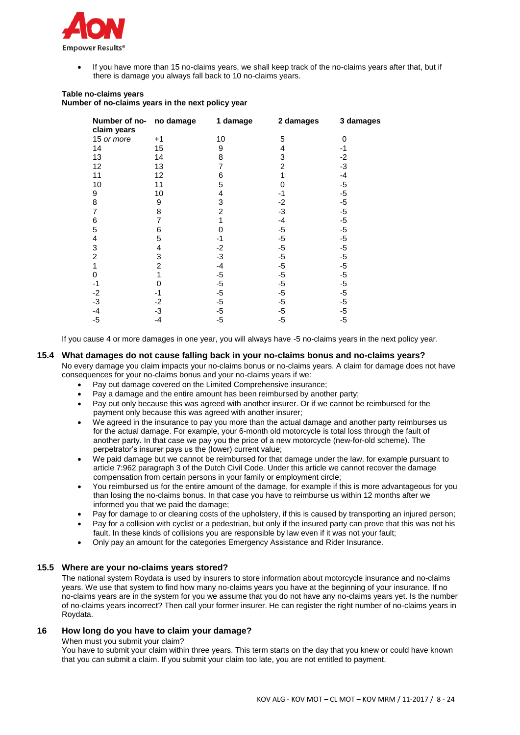

 If you have more than 15 no-claims years, we shall keep track of the no-claims years after that, but if there is damage you always fall back to 10 no-claims years.

### **Table no-claims years Number of no-claims years in the next policy year**

| Number of no-<br>claim years | no damage | 1 damage | 2 damages | 3 damages |
|------------------------------|-----------|----------|-----------|-----------|
| 15 or more                   | $+1$      | 10       | 5         | 0         |
| 14                           | 15        | 9        | 4         | -1        |
| 13                           | 14        | 8        | 3         | $-2$      |
| 12                           | 13        | 7        | 2         | -3        |
| 11                           | 12        | 6        |           | -4        |
| 10                           | 11        | 5        |           | -5        |
| 9                            | 10        | 4        | -1        | $-5$      |
| 8                            | 9         | 3        | -2        | $-5$      |
| 7                            | 8         | 2        | -3        | $-5$      |
| 6                            | 7         |          | -4        | $-5$      |
| 5                            | 6         |          | $-5$      | $-5$      |
| 4                            | 5         | -1       | -5        | $-5$      |
| 3                            | 4         | $-2$     | $-5$      | $-5$      |
| 2                            | 3         | $-3$     | $-5$      | $-5$      |
|                              | 2         | $-4$     | -5        | $-5$      |
| 0                            |           | $-5$     | $-5$      | $-5$      |
| -1                           | O         | $-5$     | -5        | $-5$      |
| $-2$                         | -1        | $-5$     | $-5$      | $-5$      |
| -3                           | -2        | -5       | $-5$      | $-5$      |
| -4                           | -3        | -5       | -5        | $-5$      |
| -5                           | -4        | -5       | -5        | $-5$      |

If you cause 4 or more damages in one year, you will always have -5 no-claims years in the next policy year.

### **15.4 What damages do not cause falling back in your no-claims bonus and no-claims years?**

No every damage you claim impacts your no-claims bonus or no-claims years. A claim for damage does not have consequences for your no-claims bonus and your no-claims years if we:

- Pay out damage covered on the Limited Comprehensive insurance;
- Pay a damage and the entire amount has been reimbursed by another party;
- Pay out only because this was agreed with another insurer. Or if we cannot be reimbursed for the payment only because this was agreed with another insurer;
- We agreed in the insurance to pay you more than the actual damage and another party reimburses us for the actual damage. For example, your 6-month old motorcycle is total loss through the fault of another party. In that case we pay you the price of a new motorcycle (new-for-old scheme). The perpetrator's insurer pays us the (lower) current value;
- We paid damage but we cannot be reimbursed for that damage under the law, for example pursuant to article 7:962 paragraph 3 of the Dutch Civil Code. Under this article we cannot recover the damage compensation from certain persons in your family or employment circle;
- You reimbursed us for the entire amount of the damage, for example if this is more advantageous for you than losing the no-claims bonus. In that case you have to reimburse us within 12 months after we informed you that we paid the damage;
- Pay for damage to or cleaning costs of the upholstery, if this is caused by transporting an injured person;
- Pay for a collision with cyclist or a pedestrian, but only if the insured party can prove that this was not his fault. In these kinds of collisions you are responsible by law even if it was not your fault;
- Only pay an amount for the categories Emergency Assistance and Rider Insurance.

### **15.5 Where are your no-claims years stored?**

The national system Roydata is used by insurers to store information about motorcycle insurance and no-claims years. We use that system to find how many no-claims years you have at the beginning of your insurance. If no no-claims years are in the system for you we assume that you do not have any no-claims years yet. Is the number of no-claims years incorrect? Then call your former insurer. He can register the right number of no-claims years in Roydata.

### **16 How long do you have to claim your damage?**

When must you submit your claim?

You have to submit your claim within three years. This term starts on the day that you knew or could have known that you can submit a claim. If you submit your claim too late, you are not entitled to payment.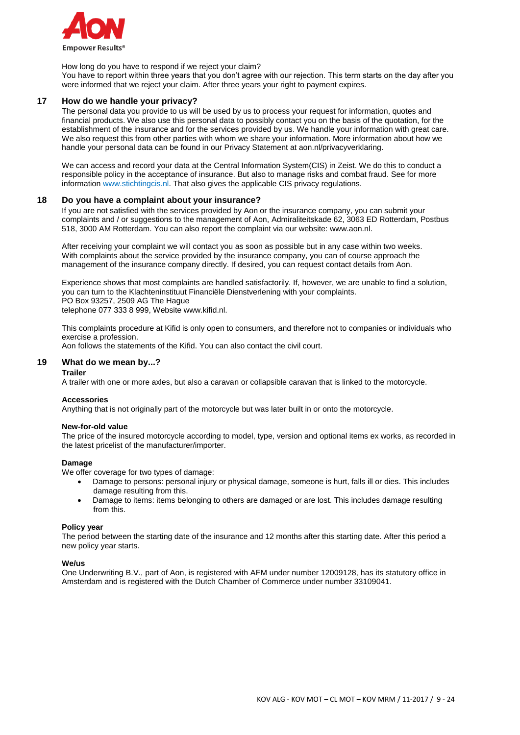

How long do you have to respond if we reject your claim?

You have to report within three years that you don't agree with our rejection. This term starts on the day after you were informed that we reject your claim. After three years your right to payment expires.

### **17 How do we handle your privacy?**

The personal data you provide to us will be used by us to process your request for information, quotes and financial products. We also use this personal data to possibly contact you on the basis of the quotation, for the establishment of the insurance and for the services provided by us. We handle your information with great care. We also request this from other parties with whom we share your information. More information about how we handle your personal data can be found in our Privacy Statement at aon.nl/privacyverklaring.

We can access and record your data at the Central Information System(CIS) in Zeist. We do this to conduct a responsible policy in the acceptance of insurance. But also to manage risks and combat fraud. See for more information www.stichtingcis.nl. That also gives the applicable CIS privacy regulations.

#### **18 Do you have a complaint about your insurance?**

If you are not satisfied with the services provided by Aon or the insurance company, you can submit your complaints and / or suggestions to the management of Aon, Admiraliteitskade 62, 3063 ED Rotterdam, Postbus 518, 3000 AM Rotterdam. You can also report the complaint via our website: www.aon.nl.

After receiving your complaint we will contact you as soon as possible but in any case within two weeks. With complaints about the service provided by the insurance company, you can of course approach the management of the insurance company directly. If desired, you can request contact details from Aon.

Experience shows that most complaints are handled satisfactorily. If, however, we are unable to find a solution, you can turn to the Klachteninstituut Financiële Dienstverlening with your complaints. PO Box 93257, 2509 AG The Hague telephone 077 333 8 999, Website www.kifid.nl.

This complaints procedure at Kifid is only open to consumers, and therefore not to companies or individuals who exercise a profession.

Aon follows the statements of the Kifid. You can also contact the civil court.

#### **19 What do we mean by...?**

#### **Trailer**

A trailer with one or more axles, but also a caravan or collapsible caravan that is linked to the motorcycle.

#### **Accessories**

Anything that is not originally part of the motorcycle but was later built in or onto the motorcycle.

#### **New-for-old value**

The price of the insured motorcycle according to model, type, version and optional items ex works, as recorded in the latest pricelist of the manufacturer/importer.

#### **Damage**

We offer coverage for two types of damage:

- Damage to persons: personal injury or physical damage, someone is hurt, falls ill or dies. This includes damage resulting from this.
- Damage to items: items belonging to others are damaged or are lost. This includes damage resulting from this.

#### **Policy year**

The period between the starting date of the insurance and 12 months after this starting date. After this period a new policy year starts.

#### **We/us**

One Underwriting B.V., part of Aon, is registered with AFM under number 12009128, has its statutory office in Amsterdam and is registered with the Dutch Chamber of Commerce under number 33109041.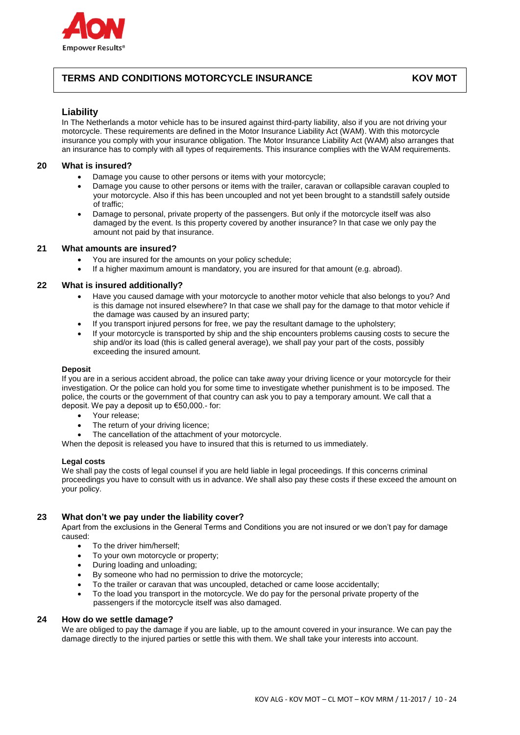

# **TERMS AND CONDITIONS MOTORCYCLE INSURANCE KOV MOT**

### **Liability**

In The Netherlands a motor vehicle has to be insured against third-party liability, also if you are not driving your motorcycle. These requirements are defined in the Motor Insurance Liability Act (WAM). With this motorcycle insurance you comply with your insurance obligation. The Motor Insurance Liability Act (WAM) also arranges that an insurance has to comply with all types of requirements. This insurance complies with the WAM requirements.

### **20 What is insured?**

- Damage you cause to other persons or items with your motorcycle;
- Damage you cause to other persons or items with the trailer, caravan or collapsible caravan coupled to your motorcycle. Also if this has been uncoupled and not yet been brought to a standstill safely outside of traffic;
- Damage to personal, private property of the passengers. But only if the motorcycle itself was also damaged by the event. Is this property covered by another insurance? In that case we only pay the amount not paid by that insurance.

### **21 What amounts are insured?**

- You are insured for the amounts on your policy schedule;
- If a higher maximum amount is mandatory, you are insured for that amount (e.g. abroad).

### **22 What is insured additionally?**

- Have you caused damage with your motorcycle to another motor vehicle that also belongs to you? And is this damage not insured elsewhere? In that case we shall pay for the damage to that motor vehicle if the damage was caused by an insured party;
- If you transport injured persons for free, we pay the resultant damage to the upholstery;
- If your motorcycle is transported by ship and the ship encounters problems causing costs to secure the ship and/or its load (this is called general average), we shall pay your part of the costs, possibly exceeding the insured amount.

#### **Deposit**

If you are in a serious accident abroad, the police can take away your driving licence or your motorcycle for their investigation. Or the police can hold you for some time to investigate whether punishment is to be imposed. The police, the courts or the government of that country can ask you to pay a temporary amount. We call that a deposit. We pay a deposit up to €50,000.- for:

- Your release;
- The return of your driving licence;
- The cancellation of the attachment of your motorcycle.

When the deposit is released you have to insured that this is returned to us immediately.

#### **Legal costs**

We shall pay the costs of legal counsel if you are held liable in legal proceedings. If this concerns criminal proceedings you have to consult with us in advance. We shall also pay these costs if these exceed the amount on your policy.

### **23 What don't we pay under the liability cover?**

Apart from the exclusions in the General Terms and Conditions you are not insured or we don't pay for damage caused:

- To the driver him/herself;
- To your own motorcycle or property;
- During loading and unloading;
- By someone who had no permission to drive the motorcycle;
- To the trailer or caravan that was uncoupled, detached or came loose accidentally;
- To the load you transport in the motorcycle. We do pay for the personal private property of the passengers if the motorcycle itself was also damaged.

### **24 How do we settle damage?**

We are obliged to pay the damage if you are liable, up to the amount covered in your insurance. We can pay the damage directly to the injured parties or settle this with them. We shall take your interests into account.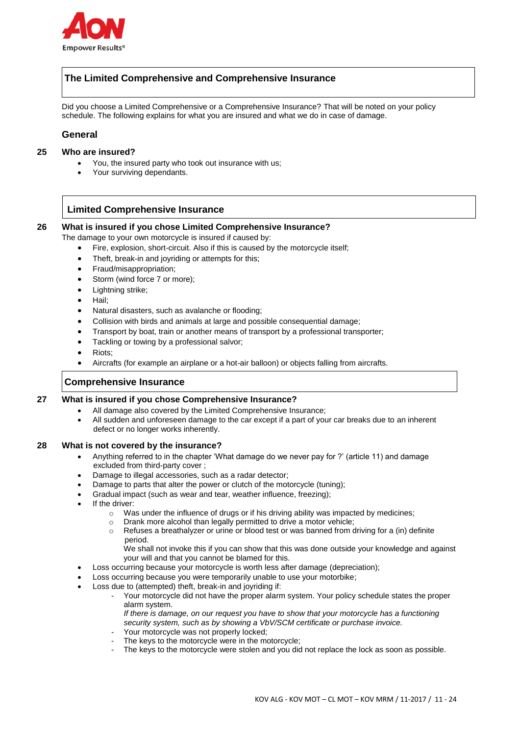

# **The Limited Comprehensive and Comprehensive Insurance**

Did you choose a Limited Comprehensive or a Comprehensive Insurance? That will be noted on your policy schedule. The following explains for what you are insured and what we do in case of damage.

### **General**

### **25 Who are insured?**

- You, the insured party who took out insurance with us;
- Your surviving dependants.

# **Limited Comprehensive Insurance**

### **26 What is insured if you chose Limited Comprehensive Insurance?**

The damage to your own motorcycle is insured if caused by:

- Fire, explosion, short-circuit. Also if this is caused by the motorcycle itself;
- Theft, break-in and joyriding or attempts for this;
- Fraud/misappropriation;
- Storm (wind force 7 or more);
- Lightning strike;
- Hail:
- Natural disasters, such as avalanche or flooding;
- Collision with birds and animals at large and possible consequential damage;
- Transport by boat, train or another means of transport by a professional transporter;
- Tackling or towing by a professional salvor;
- Riots;
- Aircrafts (for example an airplane or a hot-air balloon) or objects falling from aircrafts.

# **Comprehensive Insurance**

**27 What is insured if you chose Comprehensive Insurance?**

- All damage also covered by the Limited Comprehensive Insurance;
	- All sudden and unforeseen damage to the car except if a part of your car breaks due to an inherent defect or no longer works inherently.

#### **28 What is not covered by the insurance?**

- Anything referred to in the chapter 'What damage do we never pay for ?' (article 11) and damage excluded from third-party cover ;
- Damage to illegal accessories, such as a radar detector;
- Damage to parts that alter the power or clutch of the motorcycle (tuning);
- Gradual impact (such as wear and tear, weather influence, freezing);
- If the driver:
	- $\circ$  Was under the influence of drugs or if his driving ability was impacted by medicines;
	- o Drank more alcohol than legally permitted to drive a motor vehicle;
	- o Refuses a breathalyzer or urine or blood test or was banned from driving for a (in) definite period.
	- We shall not invoke this if you can show that this was done outside your knowledge and against your will and that you cannot be blamed for this.
- Loss occurring because your motorcycle is worth less after damage (depreciation);
- Loss occurring because you were temporarily unable to use your motorbike;
- Loss due to (attempted) theft, break-in and joyriding if:
	- Your motorcycle did not have the proper alarm system. Your policy schedule states the proper alarm system.
		- *If there is damage, on our request you have to show that your motorcycle has a functioning security system, such as by showing a VbV/SCM certificate or purchase invoice.*
	- Your motorcycle was not properly locked;
	- The keys to the motorcycle were in the motorcycle;
	- The keys to the motorcycle were stolen and you did not replace the lock as soon as possible.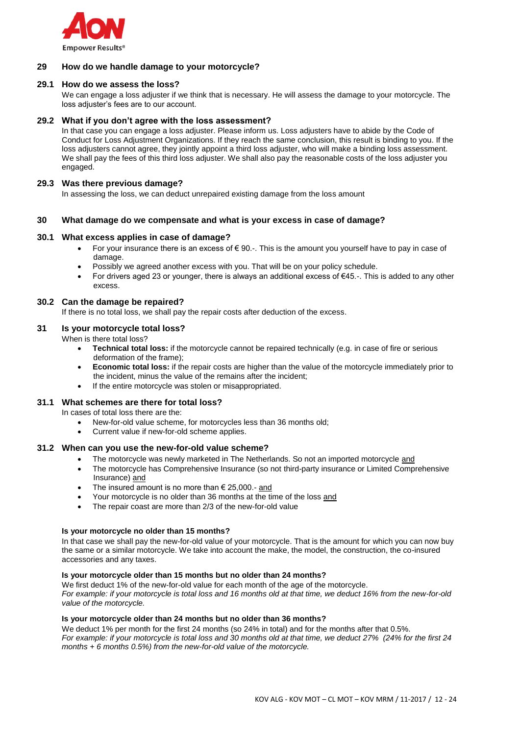

### **29 How do we handle damage to your motorcycle?**

### **29.1 How do we assess the loss?**

We can engage a loss adjuster if we think that is necessary. He will assess the damage to your motorcycle. The loss adjuster's fees are to our account.

#### **29.2 What if you don't agree with the loss assessment?**

In that case you can engage a loss adjuster. Please inform us. Loss adjusters have to abide by the Code of Conduct for Loss Adjustment Organizations. If they reach the same conclusion, this result is binding to you. If the loss adjusters cannot agree, they jointly appoint a third loss adjuster, who will make a binding loss assessment. We shall pay the fees of this third loss adjuster. We shall also pay the reasonable costs of the loss adjuster you engaged.

### **29.3 Was there previous damage?**

In assessing the loss, we can deduct unrepaired existing damage from the loss amount

### **30 What damage do we compensate and what is your excess in case of damage?**

#### **30.1 What excess applies in case of damage?**

- For your insurance there is an excess of  $\epsilon$  90.-. This is the amount you yourself have to pay in case of damage.
- Possibly we agreed another excess with you. That will be on your policy schedule.
- For drivers aged 23 or younger, there is always an additional excess of €45.-. This is added to any other excess.

### **30.2 Can the damage be repaired?**

If there is no total loss, we shall pay the repair costs after deduction of the excess.

#### **31 Is your motorcycle total loss?**

When is there total loss?

- **Technical total loss:** if the motorcycle cannot be repaired technically (e.g. in case of fire or serious deformation of the frame);
- **Economic total loss:** if the repair costs are higher than the value of the motorcycle immediately prior to the incident, minus the value of the remains after the incident;
- If the entire motorcycle was stolen or misappropriated.

#### **31.1 What schemes are there for total loss?**

In cases of total loss there are the:

- New-for-old value scheme, for motorcycles less than 36 months old;
- Current value if new-for-old scheme applies.

#### **31.2 When can you use the new-for-old value scheme?**

- The motorcycle was newly marketed in The Netherlands. So not an imported motorcycle and
- The motorcycle has Comprehensive Insurance (so not third-party insurance or Limited Comprehensive Insurance) and
- The insured amount is no more than  $\epsilon$  25,000.- and
- Your motorcycle is no older than 36 months at the time of the loss and
- The repair coast are more than 2/3 of the new-for-old value

#### **Is your motorcycle no older than 15 months?**

In that case we shall pay the new-for-old value of your motorcycle. That is the amount for which you can now buy the same or a similar motorcycle. We take into account the make, the model, the construction, the co-insured accessories and any taxes.

#### **Is your motorcycle older than 15 months but no older than 24 months?**

We first deduct 1% of the new-for-old value for each month of the age of the motorcycle. *For example: if your motorcycle is total loss and 16 months old at that time, we deduct 16% from the new-for-old value of the motorcycle.*

#### **Is your motorcycle older than 24 months but no older than 36 months?**

We deduct 1% per month for the first 24 months (so 24% in total) and for the months after that 0.5%. *For example: if your motorcycle is total loss and 30 months old at that time, we deduct 27% (24% for the first 24 months + 6 months 0.5%) from the new-for-old value of the motorcycle.*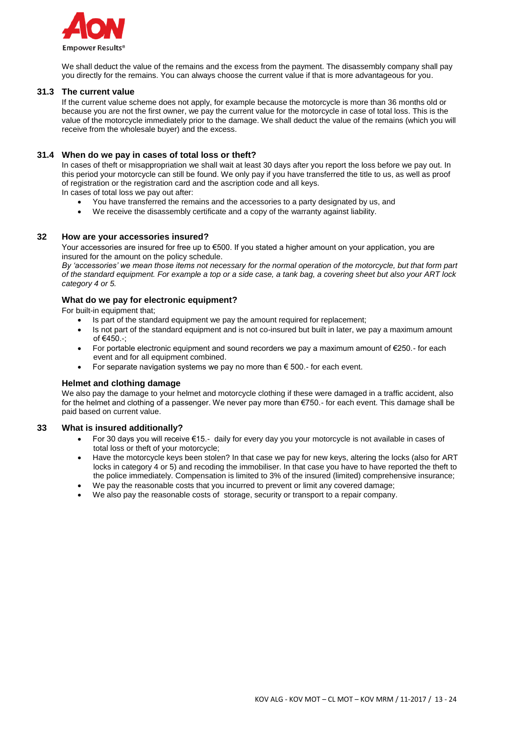

We shall deduct the value of the remains and the excess from the payment. The disassembly company shall pay you directly for the remains. You can always choose the current value if that is more advantageous for you.

### **31.3 The current value**

If the current value scheme does not apply, for example because the motorcycle is more than 36 months old or because you are not the first owner, we pay the current value for the motorcycle in case of total loss. This is the value of the motorcycle immediately prior to the damage. We shall deduct the value of the remains (which you will receive from the wholesale buyer) and the excess.

### **31.4 When do we pay in cases of total loss or theft?**

In cases of theft or misappropriation we shall wait at least 30 days after you report the loss before we pay out. In this period your motorcycle can still be found. We only pay if you have transferred the title to us, as well as proof of registration or the registration card and the ascription code and all keys.

In cases of total loss we pay out after:

- You have transferred the remains and the accessories to a party designated by us, and
- We receive the disassembly certificate and a copy of the warranty against liability.

#### **32 How are your accessories insured?**

Your accessories are insured for free up to €500. If you stated a higher amount on your application, you are insured for the amount on the policy schedule.

*By 'accessories' we mean those items not necessary for the normal operation of the motorcycle, but that form part of the standard equipment. For example a top or a side case, a tank bag, a covering sheet but also your ART lock category 4 or 5.*

### **What do we pay for electronic equipment?**

For built-in equipment that;

- Is part of the standard equipment we pay the amount required for replacement;
- Is not part of the standard equipment and is not co-insured but built in later, we pay a maximum amount of €450.-;
- For portable electronic equipment and sound recorders we pay a maximum amount of €250.- for each event and for all equipment combined.
- For separate navigation systems we pay no more than  $\epsilon$  500.- for each event.

#### **Helmet and clothing damage**

We also pay the damage to your helmet and motorcycle clothing if these were damaged in a traffic accident, also for the helmet and clothing of a passenger. We never pay more than €750.- for each event. This damage shall be paid based on current value.

#### **33 What is insured additionally?**

- For 30 days you will receive €15.- daily for every day you your motorcycle is not available in cases of total loss or theft of your motorcycle;
- Have the motorcycle keys been stolen? In that case we pay for new keys, altering the locks (also for ART locks in category 4 or 5) and recoding the immobiliser. In that case you have to have reported the theft to the police immediately. Compensation is limited to 3% of the insured (limited) comprehensive insurance;
- We pay the reasonable costs that you incurred to prevent or limit any covered damage:
- We also pay the reasonable costs of storage, security or transport to a repair company.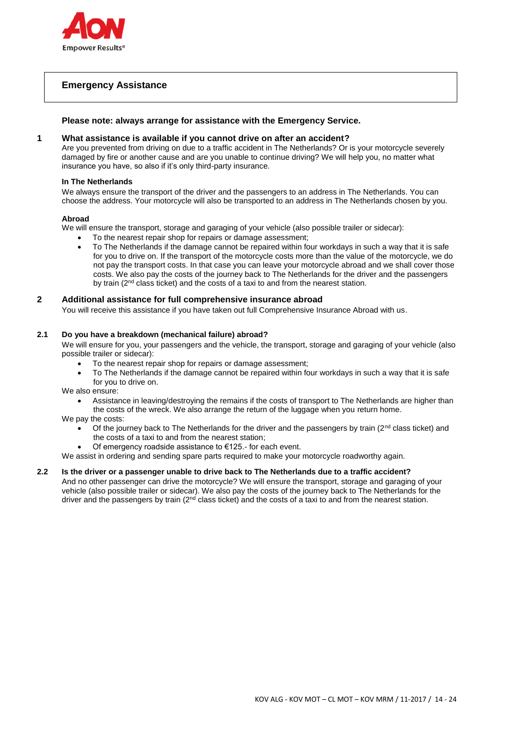

# **Emergency Assistance**

### **Please note: always arrange for assistance with the Emergency Service.**

### **1 What assistance is available if you cannot drive on after an accident?**

Are you prevented from driving on due to a traffic accident in The Netherlands? Or is your motorcycle severely damaged by fire or another cause and are you unable to continue driving? We will help you, no matter what insurance you have, so also if it's only third-party insurance.

#### **In The Netherlands**

We always ensure the transport of the driver and the passengers to an address in The Netherlands. You can choose the address. Your motorcycle will also be transported to an address in The Netherlands chosen by you.

### **Abroad**

We will ensure the transport, storage and garaging of your vehicle (also possible trailer or sidecar):

- To the nearest repair shop for repairs or damage assessment;
- To The Netherlands if the damage cannot be repaired within four workdays in such a way that it is safe for you to drive on. If the transport of the motorcycle costs more than the value of the motorcycle, we do not pay the transport costs. In that case you can leave your motorcycle abroad and we shall cover those costs. We also pay the costs of the journey back to The Netherlands for the driver and the passengers by train (2<sup>nd</sup> class ticket) and the costs of a taxi to and from the nearest station.

### **2 Additional assistance for full comprehensive insurance abroad**

You will receive this assistance if you have taken out full Comprehensive Insurance Abroad with us.

### **2.1 Do you have a breakdown (mechanical failure) abroad?**

We will ensure for you, your passengers and the vehicle, the transport, storage and garaging of your vehicle (also possible trailer or sidecar):

- To the nearest repair shop for repairs or damage assessment;
- To The Netherlands if the damage cannot be repaired within four workdays in such a way that it is safe for you to drive on.

We also ensure:

 Assistance in leaving/destroying the remains if the costs of transport to The Netherlands are higher than the costs of the wreck. We also arrange the return of the luggage when you return home.

We pay the costs:

- Of the journey back to The Netherlands for the driver and the passengers by train ( $2<sup>nd</sup>$  class ticket) and the costs of a taxi to and from the nearest station;
	- Of emergency roadside assistance to €125.- for each event.
- We assist in ordering and sending spare parts required to make your motorcycle roadworthy again.

### **2.2 Is the driver or a passenger unable to drive back to The Netherlands due to a traffic accident?**

And no other passenger can drive the motorcycle? We will ensure the transport, storage and garaging of your vehicle (also possible trailer or sidecar). We also pay the costs of the journey back to The Netherlands for the driver and the passengers by train ( $2<sup>nd</sup>$  class ticket) and the costs of a taxi to and from the nearest station.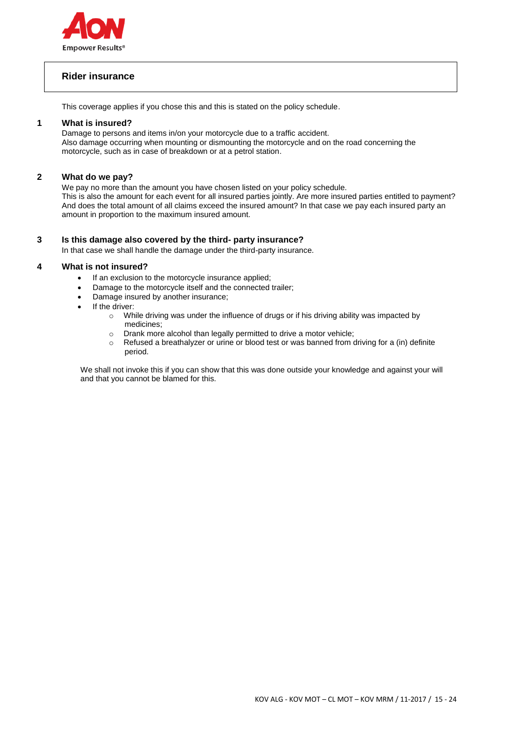

# **Rider insurance**

This coverage applies if you chose this and this is stated on the policy schedule.

### **1 What is insured?**

Damage to persons and items in/on your motorcycle due to a traffic accident. Also damage occurring when mounting or dismounting the motorcycle and on the road concerning the motorcycle, such as in case of breakdown or at a petrol station.

### **2 What do we pay?**

We pay no more than the amount you have chosen listed on your policy schedule. This is also the amount for each event for all insured parties jointly. Are more insured parties entitled to payment? And does the total amount of all claims exceed the insured amount? In that case we pay each insured party an amount in proportion to the maximum insured amount.

### **3 Is this damage also covered by the third- party insurance?**

In that case we shall handle the damage under the third-party insurance.

### **4 What is not insured?**

- If an exclusion to the motorcycle insurance applied;
- Damage to the motorcycle itself and the connected trailer;
- Damage insured by another insurance;
- If the driver:
	- o While driving was under the influence of drugs or if his driving ability was impacted by medicines;
	- o Drank more alcohol than legally permitted to drive a motor vehicle;
	- $\circ$  Refused a breathalyzer or urine or blood test or was banned from driving for a (in) definite period.

We shall not invoke this if you can show that this was done outside your knowledge and against your will and that you cannot be blamed for this.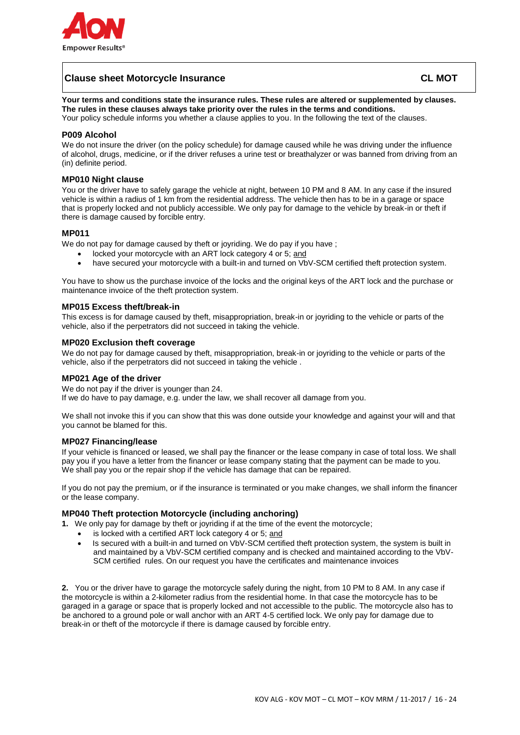

# **Clause sheet Motorcycle Insurance CL MOT**

**Your terms and conditions state the insurance rules. These rules are altered or supplemented by clauses. The rules in these clauses always take priority over the rules in the terms and conditions.**

Your policy schedule informs you whether a clause applies to you. In the following the text of the clauses.

### **P009 Alcohol**

We do not insure the driver (on the policy schedule) for damage caused while he was driving under the influence of alcohol, drugs, medicine, or if the driver refuses a urine test or breathalyzer or was banned from driving from an (in) definite period.

### **MP010 Night clause**

You or the driver have to safely garage the vehicle at night, between 10 PM and 8 AM. In any case if the insured vehicle is within a radius of 1 km from the residential address. The vehicle then has to be in a garage or space that is properly locked and not publicly accessible. We only pay for damage to the vehicle by break-in or theft if there is damage caused by forcible entry.

#### **MP011**

We do not pay for damage caused by theft or joyriding. We do pay if you have ;

- locked your motorcycle with an ART lock category 4 or 5; and
- have secured your motorcycle with a built-in and turned on VbV-SCM certified theft protection system.

You have to show us the purchase invoice of the locks and the original keys of the ART lock and the purchase or maintenance invoice of the theft protection system.

#### **MP015 Excess theft/break-in**

This excess is for damage caused by theft, misappropriation, break-in or joyriding to the vehicle or parts of the vehicle, also if the perpetrators did not succeed in taking the vehicle.

### **MP020 Exclusion theft coverage**

We do not pay for damage caused by theft, misappropriation, break-in or joyriding to the vehicle or parts of the vehicle, also if the perpetrators did not succeed in taking the vehicle .

#### **MP021 Age of the driver**

We do not pay if the driver is younger than 24. If we do have to pay damage, e.g. under the law, we shall recover all damage from you.

We shall not invoke this if you can show that this was done outside your knowledge and against your will and that you cannot be blamed for this.

### **MP027 Financing/lease**

If your vehicle is financed or leased, we shall pay the financer or the lease company in case of total loss. We shall pay you if you have a letter from the financer or lease company stating that the payment can be made to you. We shall pay you or the repair shop if the vehicle has damage that can be repaired.

If you do not pay the premium, or if the insurance is terminated or you make changes, we shall inform the financer or the lease company.

### **MP040 Theft protection Motorcycle (including anchoring)**

**1.** We only pay for damage by theft or joyriding if at the time of the event the motorcycle;

- is locked with a certified ART lock category 4 or 5; and
- Is secured with a built-in and turned on VbV-SCM certified theft protection system, the system is built in and maintained by a VbV-SCM certified company and is checked and maintained according to the VbV-SCM certified rules. On our request you have the certificates and maintenance invoices

**2.** You or the driver have to garage the motorcycle safely during the night, from 10 PM to 8 AM. In any case if the motorcycle is within a 2-kilometer radius from the residential home. In that case the motorcycle has to be garaged in a garage or space that is properly locked and not accessible to the public. The motorcycle also has to be anchored to a ground pole or wall anchor with an ART 4-5 certified lock. We only pay for damage due to break-in or theft of the motorcycle if there is damage caused by forcible entry.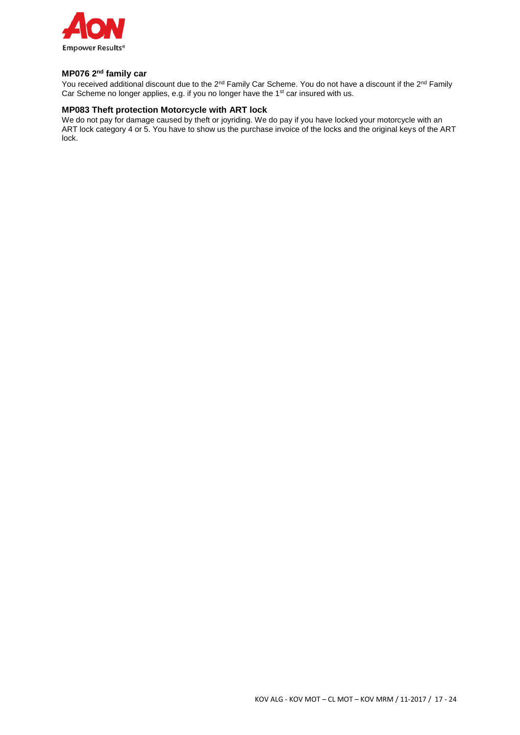

### **MP076 2nd family car**

You received additional discount due to the 2<sup>nd</sup> Family Car Scheme. You do not have a discount if the 2<sup>nd</sup> Family Car Scheme no longer applies, e.g. if you no longer have the 1<sup>st</sup> car insured with us.

## **MP083 Theft protection Motorcycle with ART lock**

We do not pay for damage caused by theft or joyriding. We do pay if you have locked your motorcycle with an ART lock category 4 or 5. You have to show us the purchase invoice of the locks and the original keys of the ART lock.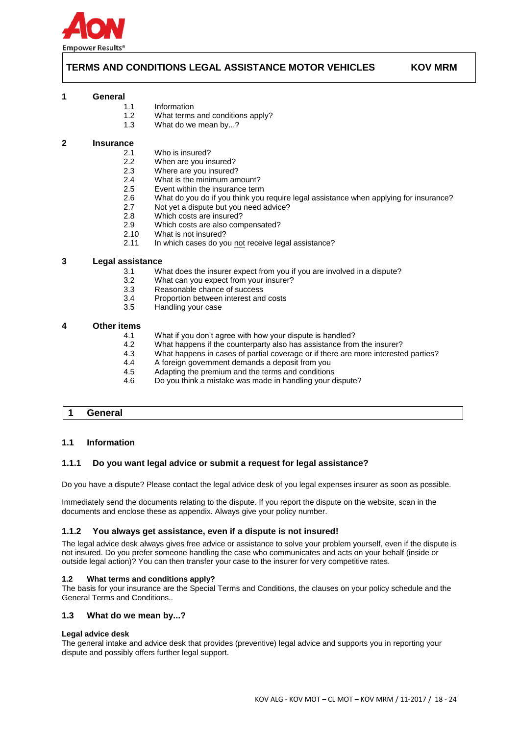

# **TERMS AND CONDITIONS LEGAL ASSISTANCE MOTOR VEHICLES KOV MRM**

#### **1 General**

1.1 Information

- 1.2 What terms and conditions apply?
- 1.3 What do we mean by...?

#### **2 Insurance**

- 2.1 Who is insured?<br>2.2 When are you in
- 2.2 When are you insured?<br>2.3 Where are you insured?
- 2.3 Where are you insured?<br>2.4 What is the minimum am
- 2.4 What is the minimum amount?<br>2.5 Event within the insurance term
- Event within the insurance term
- 2.6 What do you do if you think you require legal assistance when applying for insurance?<br>2.7 Mot vet a dispute but you need advice?
- 2.7 Not yet a dispute but you need advice?<br>2.8 Which costs are insured?
- Which costs are insured?
- 2.9 Which costs are also compensated?
- 2.10 What is not insured?<br>2.11 In which cases do vo
- In which cases do you not receive legal assistance?

### **3 Legal assistance**

- 3.1 What does the insurer expect from you if you are involved in a dispute?
- 3.2 What can you expect from your insurer?
- 3.3 Reasonable chance of success
- 3.4 Proportion between interest and costs
- 3.5 Handling your case

#### **4 Other items**

- 4.1 What if you don't agree with how your dispute is handled?
- 4.2 What happens if the counterparty also has assistance from the insurer?
- 4.3 What happens in cases of partial coverage or if there are more interested parties?
- 4.4 A foreign government demands a deposit from you
- 4.5 Adapting the premium and the terms and conditions<br>4.6 Do you think a mistake was made in handling your d
- Do you think a mistake was made in handling your dispute?

### **1 General**

#### **1.1 Information**

### **1.1.1 Do you want legal advice or submit a request for legal assistance?**

Do you have a dispute? Please contact the legal advice desk of you legal expenses insurer as soon as possible.

Immediately send the documents relating to the dispute. If you report the dispute on the website, scan in the documents and enclose these as appendix. Always give your policy number.

#### **1.1.2 You always get assistance, even if a dispute is not insured!**

The legal advice desk always gives free advice or assistance to solve your problem yourself, even if the dispute is not insured. Do you prefer someone handling the case who communicates and acts on your behalf (inside or outside legal action)? You can then transfer your case to the insurer for very competitive rates.

#### **1.2 What terms and conditions apply?**

The basis for your insurance are the Special Terms and Conditions, the clauses on your policy schedule and the General Terms and Conditions..

#### **1.3 What do we mean by...?**

#### **Legal advice desk**

The general intake and advice desk that provides (preventive) legal advice and supports you in reporting your dispute and possibly offers further legal support.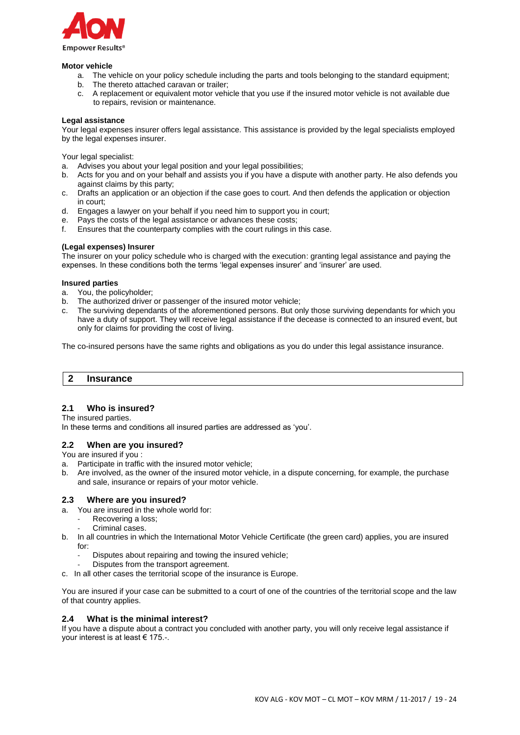

#### **Motor vehicle**

- a. The vehicle on your policy schedule including the parts and tools belonging to the standard equipment;
- b. The thereto attached caravan or trailer;
- c. A replacement or equivalent motor vehicle that you use if the insured motor vehicle is not available due to repairs, revision or maintenance.

### **Legal assistance**

Your legal expenses insurer offers legal assistance. This assistance is provided by the legal specialists employed by the legal expenses insurer.

Your legal specialist:

- a. Advises you about your legal position and your legal possibilities;
- b. Acts for you and on your behalf and assists you if you have a dispute with another party. He also defends you against claims by this party;
- c. Drafts an application or an objection if the case goes to court. And then defends the application or objection in court;
- d. Engages a lawyer on your behalf if you need him to support you in court;
- e. Pays the costs of the legal assistance or advances these costs;
- f. Ensures that the counterparty complies with the court rulings in this case.

### **(Legal expenses) Insurer**

The insurer on your policy schedule who is charged with the execution: granting legal assistance and paying the expenses. In these conditions both the terms 'legal expenses insurer' and 'insurer' are used.

### **Insured parties**

- a. You, the policyholder;
- b. The authorized driver or passenger of the insured motor vehicle;
- The surviving dependants of the aforementioned persons. But only those surviving dependants for which you have a duty of support. They will receive legal assistance if the decease is connected to an insured event, but only for claims for providing the cost of living.

The co-insured persons have the same rights and obligations as you do under this legal assistance insurance.

### **2 Insurance**

# **2.1 Who is insured?**

The insured parties.

In these terms and conditions all insured parties are addressed as 'you'.

### **2.2 When are you insured?**

You are insured if you :

- a. Participate in traffic with the insured motor vehicle;
- b. Are involved, as the owner of the insured motor vehicle, in a dispute concerning, for example, the purchase and sale, insurance or repairs of your motor vehicle.

### **2.3 Where are you insured?**

- a. You are insured in the whole world for:
	- Recovering a loss;
	- Criminal cases.
- b. In all countries in which the International Motor Vehicle Certificate (the green card) applies, you are insured for:
	- Disputes about repairing and towing the insured vehicle;
	- Disputes from the transport agreement.
- c. In all other cases the territorial scope of the insurance is Europe.

You are insured if your case can be submitted to a court of one of the countries of the territorial scope and the law of that country applies.

### **2.4 What is the minimal interest?**

If you have a dispute about a contract you concluded with another party, you will only receive legal assistance if your interest is at least € 175.-.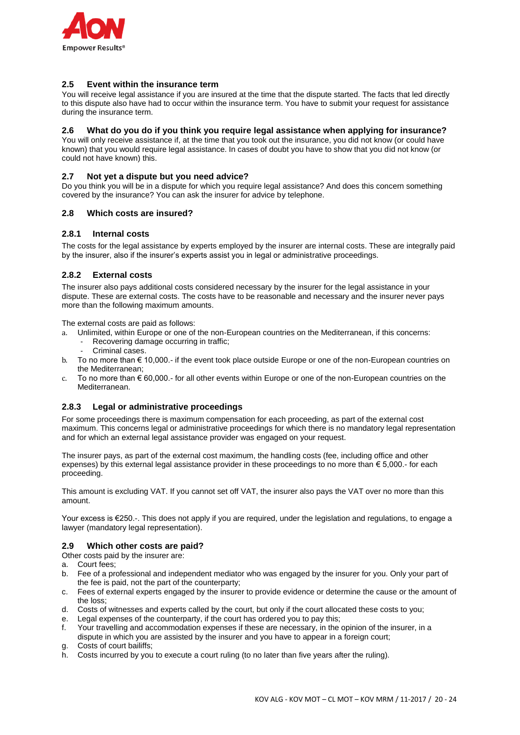

### **2.5 Event within the insurance term**

You will receive legal assistance if you are insured at the time that the dispute started. The facts that led directly to this dispute also have had to occur within the insurance term. You have to submit your request for assistance during the insurance term.

### **2.6 What do you do if you think you require legal assistance when applying for insurance?**

You will only receive assistance if, at the time that you took out the insurance, you did not know (or could have known) that you would require legal assistance. In cases of doubt you have to show that you did not know (or could not have known) this.

### **2.7 Not yet a dispute but you need advice?**

Do you think you will be in a dispute for which you require legal assistance? And does this concern something covered by the insurance? You can ask the insurer for advice by telephone.

### **2.8 Which costs are insured?**

### **2.8.1 Internal costs**

The costs for the legal assistance by experts employed by the insurer are internal costs. These are integrally paid by the insurer, also if the insurer's experts assist you in legal or administrative proceedings.

### **2.8.2 External costs**

The insurer also pays additional costs considered necessary by the insurer for the legal assistance in your dispute. These are external costs. The costs have to be reasonable and necessary and the insurer never pays more than the following maximum amounts.

The external costs are paid as follows:

- a. Unlimited, within Europe or one of the non-European countries on the Mediterranean, if this concerns:
	- Recovering damage occurring in traffic;
	- Criminal cases.
- To no more than  $\epsilon$  10,000.- if the event took place outside Europe or one of the non-European countries on the Mediterranean;
- c. To no more than  $\epsilon$  60,000.- for all other events within Europe or one of the non-European countries on the Mediterranean.

### **2.8.3 Legal or administrative proceedings**

For some proceedings there is maximum compensation for each proceeding, as part of the external cost maximum. This concerns legal or administrative proceedings for which there is no mandatory legal representation and for which an external legal assistance provider was engaged on your request.

The insurer pays, as part of the external cost maximum, the handling costs (fee, including office and other expenses) by this external legal assistance provider in these proceedings to no more than € 5,000.- for each proceeding.

This amount is excluding VAT. If you cannot set off VAT, the insurer also pays the VAT over no more than this amount.

Your excess is €250.-. This does not apply if you are required, under the legislation and regulations, to engage a lawyer (mandatory legal representation).

### **2.9 Which other costs are paid?**

Other costs paid by the insurer are:

- a. Court fees;
- b. Fee of a professional and independent mediator who was engaged by the insurer for you. Only your part of the fee is paid, not the part of the counterparty;
- c. Fees of external experts engaged by the insurer to provide evidence or determine the cause or the amount of the loss;
- d. Costs of witnesses and experts called by the court, but only if the court allocated these costs to you;
- e. Legal expenses of the counterparty, if the court has ordered you to pay this;
- f. Your travelling and accommodation expenses if these are necessary, in the opinion of the insurer, in a dispute in which you are assisted by the insurer and you have to appear in a foreign court;
- g. Costs of court bailiffs;
- h. Costs incurred by you to execute a court ruling (to no later than five years after the ruling).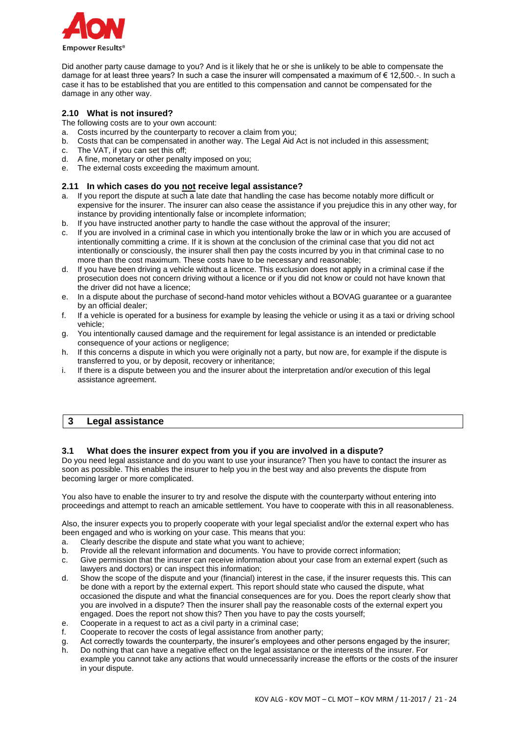

Did another party cause damage to you? And is it likely that he or she is unlikely to be able to compensate the damage for at least three years? In such a case the insurer will compensated a maximum of € 12,500.-. In such a case it has to be established that you are entitled to this compensation and cannot be compensated for the damage in any other way.

## **2.10 What is not insured?**

The following costs are to your own account:

- a. Costs incurred by the counterparty to recover a claim from you;
- b. Costs that can be compensated in another way. The Legal Aid Act is not included in this assessment;
- c. The VAT, if you can set this off;
- d. A fine, monetary or other penalty imposed on you;
- e. The external costs exceeding the maximum amount.

### **2.11 In which cases do you not receive legal assistance?**

- a. If you report the dispute at such a late date that handling the case has become notably more difficult or expensive for the insurer. The insurer can also cease the assistance if you prejudice this in any other way, for instance by providing intentionally false or incomplete information;
- b. If you have instructed another party to handle the case without the approval of the insurer;
- c. If you are involved in a criminal case in which you intentionally broke the law or in which you are accused of intentionally committing a crime. If it is shown at the conclusion of the criminal case that you did not act intentionally or consciously, the insurer shall then pay the costs incurred by you in that criminal case to no more than the cost maximum. These costs have to be necessary and reasonable;
- d. If you have been driving a vehicle without a licence. This exclusion does not apply in a criminal case if the prosecution does not concern driving without a licence or if you did not know or could not have known that the driver did not have a licence;
- e. In a dispute about the purchase of second-hand motor vehicles without a BOVAG guarantee or a guarantee by an official dealer;
- f. If a vehicle is operated for a business for example by leasing the vehicle or using it as a taxi or driving school vehicle;
- g. You intentionally caused damage and the requirement for legal assistance is an intended or predictable consequence of your actions or negligence;
- h. If this concerns a dispute in which you were originally not a party, but now are, for example if the dispute is transferred to you, or by deposit, recovery or inheritance;
- i. If there is a dispute between you and the insurer about the interpretation and/or execution of this legal assistance agreement.

# **3 Legal assistance**

# **3.1 What does the insurer expect from you if you are involved in a dispute?**

Do you need legal assistance and do you want to use your insurance? Then you have to contact the insurer as soon as possible. This enables the insurer to help you in the best way and also prevents the dispute from becoming larger or more complicated.

You also have to enable the insurer to try and resolve the dispute with the counterparty without entering into proceedings and attempt to reach an amicable settlement. You have to cooperate with this in all reasonableness.

Also, the insurer expects you to properly cooperate with your legal specialist and/or the external expert who has been engaged and who is working on your case. This means that you:

- a. Clearly describe the dispute and state what you want to achieve;
- b. Provide all the relevant information and documents. You have to provide correct information;
- c. Give permission that the insurer can receive information about your case from an external expert (such as lawyers and doctors) or can inspect this information;
- d. Show the scope of the dispute and your (financial) interest in the case, if the insurer requests this. This can be done with a report by the external expert. This report should state who caused the dispute, what occasioned the dispute and what the financial consequences are for you. Does the report clearly show that you are involved in a dispute? Then the insurer shall pay the reasonable costs of the external expert you engaged. Does the report not show this? Then you have to pay the costs yourself;
- e. Cooperate in a request to act as a civil party in a criminal case;
- f. Cooperate to recover the costs of legal assistance from another party;
- g. Act correctly towards the counterparty, the insurer's employees and other persons engaged by the insurer;
- h. Do nothing that can have a negative effect on the legal assistance or the interests of the insurer. For example you cannot take any actions that would unnecessarily increase the efforts or the costs of the insurer in your dispute.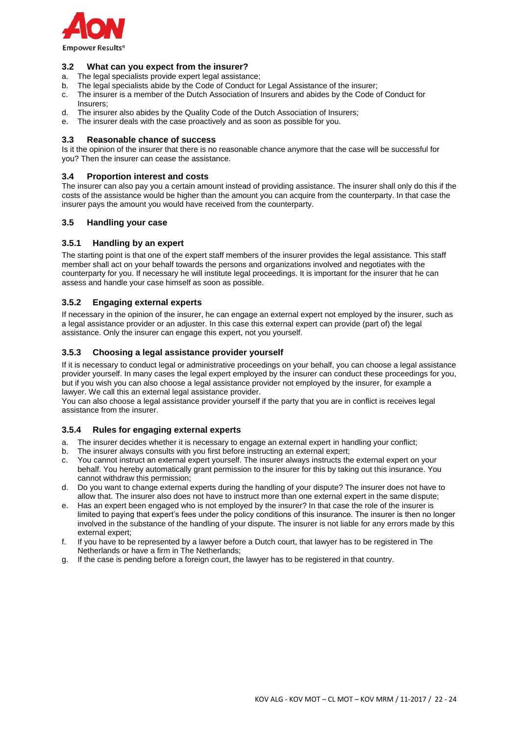

### **3.2 What can you expect from the insurer?**

- a. The legal specialists provide expert legal assistance;
- b. The legal specialists abide by the Code of Conduct for Legal Assistance of the insurer;
- c. The insurer is a member of the Dutch Association of Insurers and abides by the Code of Conduct for Incurare:
- d. The insurer also abides by the Quality Code of the Dutch Association of Insurers;
- e. The insurer deals with the case proactively and as soon as possible for you.

### **3.3 Reasonable chance of success**

Is it the opinion of the insurer that there is no reasonable chance anymore that the case will be successful for you? Then the insurer can cease the assistance.

### **3.4 Proportion interest and costs**

The insurer can also pay you a certain amount instead of providing assistance. The insurer shall only do this if the costs of the assistance would be higher than the amount you can acquire from the counterparty. In that case the insurer pays the amount you would have received from the counterparty.

### **3.5 Handling your case**

### **3.5.1 Handling by an expert**

The starting point is that one of the expert staff members of the insurer provides the legal assistance. This staff member shall act on your behalf towards the persons and organizations involved and negotiates with the counterparty for you. If necessary he will institute legal proceedings. It is important for the insurer that he can assess and handle your case himself as soon as possible.

### **3.5.2 Engaging external experts**

If necessary in the opinion of the insurer, he can engage an external expert not employed by the insurer, such as a legal assistance provider or an adjuster. In this case this external expert can provide (part of) the legal assistance. Only the insurer can engage this expert, not you yourself.

### **3.5.3 Choosing a legal assistance provider yourself**

If it is necessary to conduct legal or administrative proceedings on your behalf, you can choose a legal assistance provider yourself. In many cases the legal expert employed by the insurer can conduct these proceedings for you, but if you wish you can also choose a legal assistance provider not employed by the insurer, for example a lawyer. We call this an external legal assistance provider.

You can also choose a legal assistance provider yourself if the party that you are in conflict is receives legal assistance from the insurer.

#### **3.5.4 Rules for engaging external experts**

- a. The insurer decides whether it is necessary to engage an external expert in handling your conflict;
- b. The insurer always consults with you first before instructing an external expert;
- c. You cannot instruct an external expert yourself. The insurer always instructs the external expert on your behalf. You hereby automatically grant permission to the insurer for this by taking out this insurance. You cannot withdraw this permission;
- d. Do you want to change external experts during the handling of your dispute? The insurer does not have to allow that. The insurer also does not have to instruct more than one external expert in the same dispute;
- e. Has an expert been engaged who is not employed by the insurer? In that case the role of the insurer is limited to paying that expert's fees under the policy conditions of this insurance. The insurer is then no longer involved in the substance of the handling of your dispute. The insurer is not liable for any errors made by this external expert;
- f. If you have to be represented by a lawyer before a Dutch court, that lawyer has to be registered in The Netherlands or have a firm in The Netherlands;
- g. If the case is pending before a foreign court, the lawyer has to be registered in that country.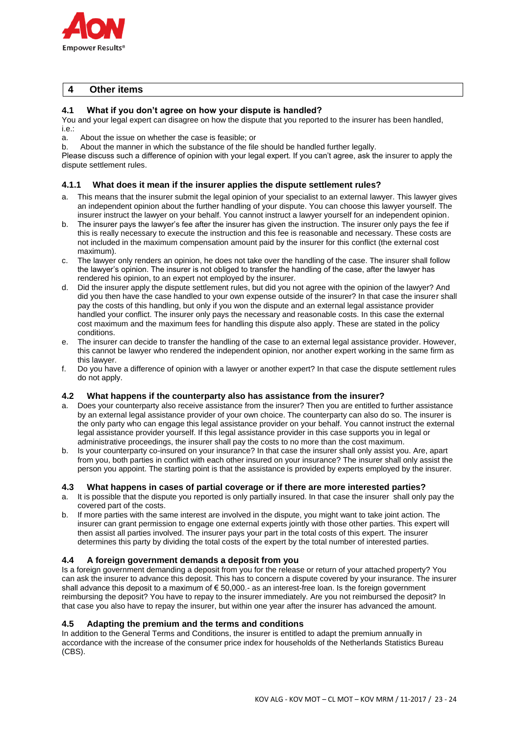

# **4 Other items**

## **4.1 What if you don't agree on how your dispute is handled?**

You and your legal expert can disagree on how the dispute that you reported to the insurer has been handled, i.e.:

a. About the issue on whether the case is feasible; or

b. About the manner in which the substance of the file should be handled further legally.

Please discuss such a difference of opinion with your legal expert. If you can't agree, ask the insurer to apply the dispute settlement rules.

### **4.1.1 What does it mean if the insurer applies the dispute settlement rules?**

- a. This means that the insurer submit the legal opinion of your specialist to an external lawyer. This lawyer gives an independent opinion about the further handling of your dispute. You can choose this lawyer yourself. The insurer instruct the lawyer on your behalf. You cannot instruct a lawyer yourself for an independent opinion.
- b. The insurer pays the lawyer's fee after the insurer has given the instruction. The insurer only pays the fee if this is really necessary to execute the instruction and this fee is reasonable and necessary. These costs are not included in the maximum compensation amount paid by the insurer for this conflict (the external cost maximum).
- c. The lawyer only renders an opinion, he does not take over the handling of the case. The insurer shall follow the lawyer's opinion. The insurer is not obliged to transfer the handling of the case, after the lawyer has rendered his opinion, to an expert not employed by the insurer.
- d. Did the insurer apply the dispute settlement rules, but did you not agree with the opinion of the lawyer? And did you then have the case handled to your own expense outside of the insurer? In that case the insurer shall pay the costs of this handling, but only if you won the dispute and an external legal assistance provider handled your conflict. The insurer only pays the necessary and reasonable costs. In this case the external cost maximum and the maximum fees for handling this dispute also apply. These are stated in the policy conditions.
- e. The insurer can decide to transfer the handling of the case to an external legal assistance provider. However, this cannot be lawyer who rendered the independent opinion, nor another expert working in the same firm as this lawyer.
- f. Do you have a difference of opinion with a lawyer or another expert? In that case the dispute settlement rules do not apply.

### **4.2 What happens if the counterparty also has assistance from the insurer?**

- a. Does your counterparty also receive assistance from the insurer? Then you are entitled to further assistance by an external legal assistance provider of your own choice. The counterparty can also do so. The insurer is the only party who can engage this legal assistance provider on your behalf. You cannot instruct the external legal assistance provider yourself. If this legal assistance provider in this case supports you in legal or administrative proceedings, the insurer shall pay the costs to no more than the cost maximum.
- b. Is your counterparty co-insured on your insurance? In that case the insurer shall only assist you. Are, apart from you, both parties in conflict with each other insured on your insurance? The insurer shall only assist the person you appoint. The starting point is that the assistance is provided by experts employed by the insurer.

### **4.3 What happens in cases of partial coverage or if there are more interested parties?**

- a. It is possible that the dispute you reported is only partially insured. In that case the insurer shall only pay the covered part of the costs.
- b. If more parties with the same interest are involved in the dispute, you might want to take joint action. The insurer can grant permission to engage one external experts jointly with those other parties. This expert will then assist all parties involved. The insurer pays your part in the total costs of this expert. The insurer determines this party by dividing the total costs of the expert by the total number of interested parties.

### **4.4 A foreign government demands a deposit from you**

Is a foreign government demanding a deposit from you for the release or return of your attached property? You can ask the insurer to advance this deposit. This has to concern a dispute covered by your insurance. The insurer shall advance this deposit to a maximum of  $\epsilon$  50,000.- as an interest-free loan. Is the foreign government reimbursing the deposit? You have to repay to the insurer immediately. Are you not reimbursed the deposit? In that case you also have to repay the insurer, but within one year after the insurer has advanced the amount.

### **4.5 Adapting the premium and the terms and conditions**

In addition to the General Terms and Conditions, the insurer is entitled to adapt the premium annually in accordance with the increase of the consumer price index for households of the Netherlands Statistics Bureau (CBS).